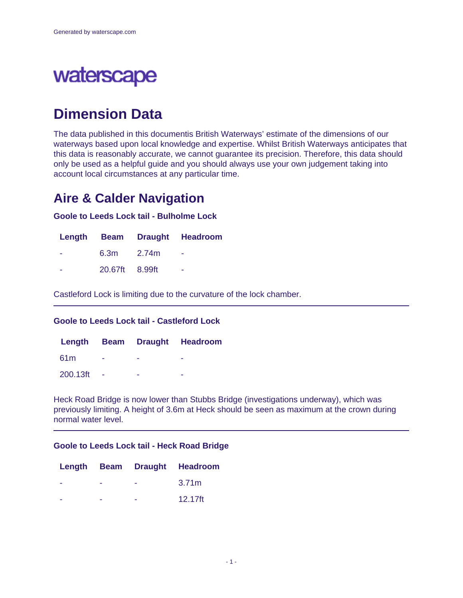# waterscape

# **Dimension Data**

The data published in this documentis British Waterways' estimate of the dimensions of our waterways based upon local knowledge and expertise. Whilst British Waterways anticipates that this data is reasonably accurate, we cannot guarantee its precision. Therefore, this data should only be used as a helpful guide and you should always use your own judgement taking into account local circumstances at any particular time.

# **Aire & Calder Navigation**

**Goole to Leeds Lock tail - Bulholme Lock**

|                | Length Beam Draught Headroom |
|----------------|------------------------------|
| $6.3m$ $2.74m$ | - -                          |
| 20.67ft 8.99ft | ۰                            |

Castleford Lock is limiting due to the curvature of the lock chamber.

### **Goole to Leeds Lock tail - Castleford Lock**

|          |        |   | Length Beam Draught Headroom |
|----------|--------|---|------------------------------|
| .61m     | ۰      | - | -                            |
| 200.13ft | $\sim$ | - | -                            |

Heck Road Bridge is now lower than Stubbs Bridge (investigations underway), which was previously limiting. A height of 3.6m at Heck should be seen as maximum at the crown during normal water level.

#### **Goole to Leeds Lock tail - Heck Road Bridge**

|  | Length Beam Draught Headroom |
|--|------------------------------|
|  | 3.71 <sub>m</sub>            |
|  | 12.17ft                      |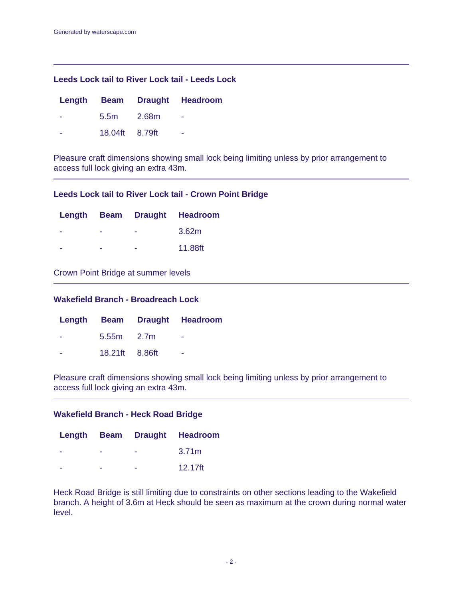### **Leeds Lock tail to River Lock tail - Leeds Lock**

|                | Length Beam Draught Headroom |
|----------------|------------------------------|
| 5.5m 2.68m     | - -                          |
| 18.04ft 8.79ft | -                            |

Pleasure craft dimensions showing small lock being limiting unless by prior arrangement to access full lock giving an extra 43m.

#### **Leeds Lock tail to River Lock tail - Crown Point Bridge**

|   |   | Length Beam Draught Headroom |
|---|---|------------------------------|
| - | - | 3.62m                        |
| - | - | 11.88ft                      |

### Crown Point Bridge at summer levels

### **Wakefield Branch - Broadreach Lock**

|                | Length Beam Draught Headroom |
|----------------|------------------------------|
| $5.55m$ $2.7m$ | ۰                            |
| 18.21ft 8.86ft | ۰                            |

Pleasure craft dimensions showing small lock being limiting unless by prior arrangement to access full lock giving an extra 43m.

#### **Wakefield Branch - Heck Road Bridge**

|   |   | Length Beam Draught Headroom |
|---|---|------------------------------|
| - | - | 3.71 <sub>m</sub>            |
|   | - | 12.17ft                      |

Heck Road Bridge is still limiting due to constraints on other sections leading to the Wakefield branch. A height of 3.6m at Heck should be seen as maximum at the crown during normal water level.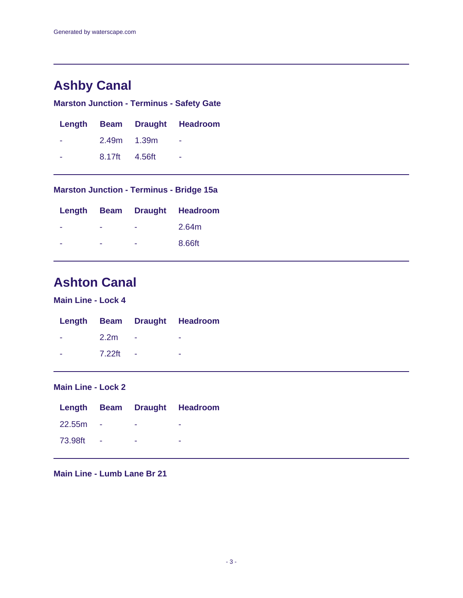# **Ashby Canal**

## **Marston Junction - Terminus - Safety Gate**

|               | Length Beam Draught Headroom |
|---------------|------------------------------|
| 2.49m 1.39m   |                              |
| 8.17ft 4.56ft | ۰                            |

**Marston Junction - Terminus - Bridge 15a**

|   |   | Length Beam Draught Headroom |
|---|---|------------------------------|
| - | - | 2.64m                        |
| - | - | 8.66ft                       |

# **Ashton Canal**

**Main Line - Lock 4**

|                              |             | Length Beam Draught Headroom |
|------------------------------|-------------|------------------------------|
| <b>All Contract Contract</b> | $2.2m -$    | ٠                            |
| ÷.                           | $7.22$ ft - | -                            |

# **Main Line - Lock 2**

|            |                              |                                | Length Beam Draught Headroom |
|------------|------------------------------|--------------------------------|------------------------------|
| $22.55m -$ |                              | and the control of the control | $\sim$                       |
| 73.98ft -  | the contract of the contract |                                | $\overline{\phantom{a}}$     |

**Main Line - Lumb Lane Br 21**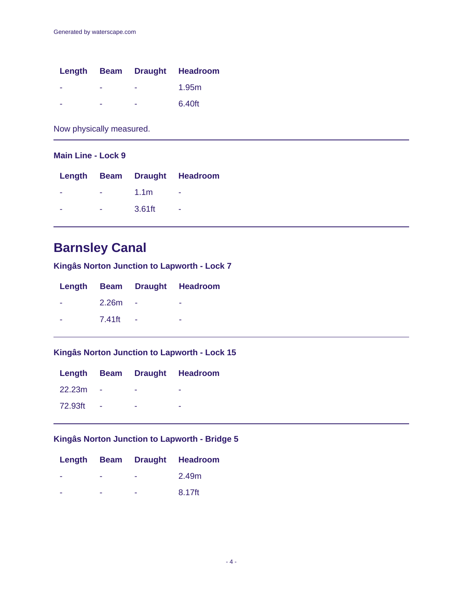|   |   | Length Beam Draught Headroom |
|---|---|------------------------------|
| - | - | 1.95m                        |
|   | - | 6.40ft                       |

Now physically measured.

## **Main Line - Lock 9**

|   |                  | Length Beam Draught Headroom |
|---|------------------|------------------------------|
| ۰ | 1.1 <sub>m</sub> | -                            |
| - | 3.61ft           | -                            |

# **Barnsley Canal**

**Kingâs Norton Junction to Lapworth - Lock 7**

|        | Length Beam Draught Headroom |
|--------|------------------------------|
| 2.26m  | -                            |
| 7.41ft |                              |

### **Kingâs Norton Junction to Lapworth - Lock 15**

|         |   | Length Beam Draught Headroom |
|---------|---|------------------------------|
| 22.23m  |   |                              |
| 72.93ft | - |                              |

# **Kingâs Norton Junction to Lapworth - Bridge 5**

|  | Length Beam Draught Headroom |
|--|------------------------------|
|  | 2.49m                        |
|  | 8.17ft                       |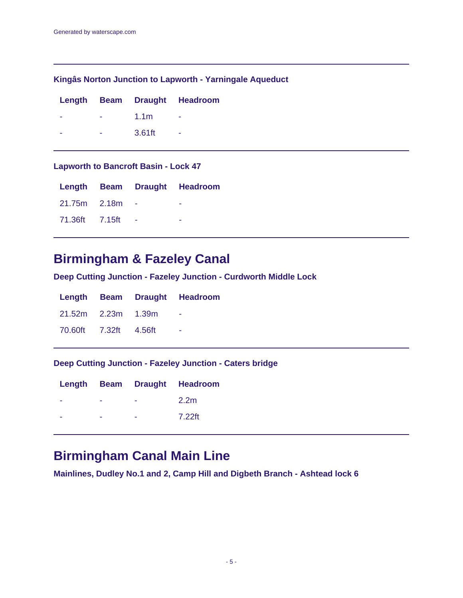### **Kingâs Norton Junction to Lapworth - Yarningale Aqueduct**

|   |                  | Length Beam Draught Headroom |
|---|------------------|------------------------------|
| ۰ | 1.1 <sub>m</sub> |                              |
| ۰ | 3.61ft           | ۰                            |

### **Lapworth to Bancroft Basin - Lock 47**

|                |  | Length Beam Draught Headroom |
|----------------|--|------------------------------|
| 21.75m 2.18m   |  |                              |
| 71.36ft 7.15ft |  |                              |

# **Birmingham & Fazeley Canal**

**Deep Cutting Junction - Fazeley Junction - Curdworth Middle Lock**

|                       |  | Length Beam Draught Headroom     |
|-----------------------|--|----------------------------------|
| 21.52m 2.23m 1.39m    |  | <b><i><u>Participate</u></i></b> |
| 70.60ft 7.32ft 4.56ft |  | - 4                              |

### **Deep Cutting Junction - Fazeley Junction - Caters bridge**

|   |   | Length Beam Draught Headroom |
|---|---|------------------------------|
|   |   | 2.2 <sub>m</sub>             |
| - | - | 7.22ft                       |

# **Birmingham Canal Main Line**

**Mainlines, Dudley No.1 and 2, Camp Hill and Digbeth Branch - Ashtead lock 6**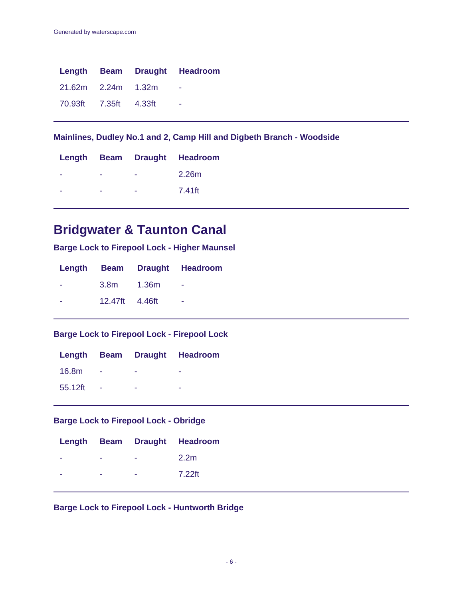|                       |  | Length Beam Draught Headroom |
|-----------------------|--|------------------------------|
| 21.62m 2.24m 1.32m    |  |                              |
| 70.93ft 7.35ft 4.33ft |  | - 11                         |

**Mainlines, Dudley No.1 and 2, Camp Hill and Digbeth Branch - Woodside**

|  | Length Beam Draught Headroom |
|--|------------------------------|
|  | 2.26m                        |
|  | 7.41ft                       |

# **Bridgwater & Taunton Canal**

**Barge Lock to Firepool Lock - Higher Maunsel**

|                | Length Beam Draught Headroom |
|----------------|------------------------------|
| 3.8m 1.36m     | <b>Contract</b>              |
| 12.47ft 4.46ft | $\sim$                       |

**Barge Lock to Firepool Lock - Firepool Lock**

|         |  | Length Beam Draught Headroom |
|---------|--|------------------------------|
| 16.8m   |  |                              |
| 55.12ft |  |                              |

## **Barge Lock to Firepool Lock - Obridge**

|   |  | Length Beam Draught Headroom |
|---|--|------------------------------|
| - |  | 2.2 <sub>m</sub>             |
|   |  | 7.22ft                       |

**Barge Lock to Firepool Lock - Huntworth Bridge**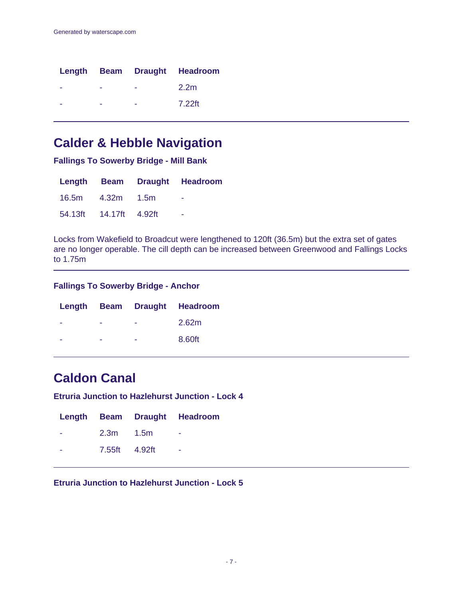|  | Length Beam Draught Headroom |
|--|------------------------------|
|  | 2.2 <sub>m</sub>             |
|  | 7.22ft                       |

# **Calder & Hebble Navigation**

**Fallings To Sowerby Bridge - Mill Bank**

|                        | Length Beam Draught Headroom |
|------------------------|------------------------------|
| 16.5m  4.32m  1.5m     | $\sim$                       |
| 54.13ft 14.17ft 4.92ft | $\sim$                       |

Locks from Wakefield to Broadcut were lengthened to 120ft (36.5m) but the extra set of gates are no longer operable. The cill depth can be increased between Greenwood and Fallings Locks to 1.75m

### **Fallings To Sowerby Bridge - Anchor**

|  |   | Length Beam Draught Headroom |
|--|---|------------------------------|
|  | - | 2.62m                        |
|  | - | 8.60ft                       |

# **Caldon Canal**

**Etruria Junction to Hazlehurst Junction - Lock 4**

|               | Length Beam Draught Headroom |
|---------------|------------------------------|
| $2.3m$ $1.5m$ | $\overline{\phantom{a}}$     |
| 7.55ft 4.92ft | ٠                            |

**Etruria Junction to Hazlehurst Junction - Lock 5**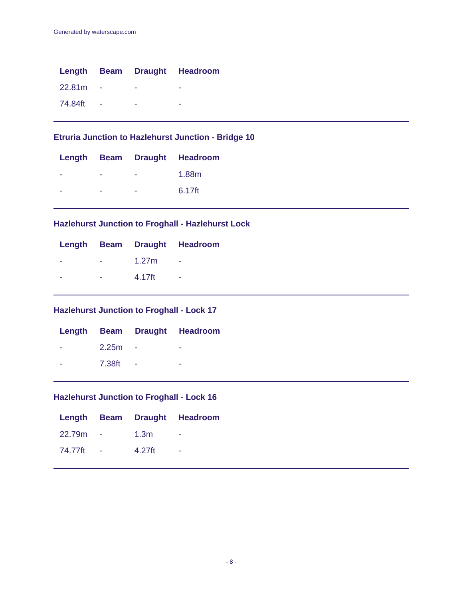|         |                 |   | Length Beam Draught Headroom |
|---------|-----------------|---|------------------------------|
| 22.81m  |                 | ۰ | ۰                            |
| 74.84ft | <b>Contract</b> | - |                              |

## **Etruria Junction to Hazlehurst Junction - Bridge 10**

|  |   | Length Beam Draught Headroom |
|--|---|------------------------------|
|  |   | 1.88m                        |
|  | - | $6.17$ ft                    |

### **Hazlehurst Junction to Froghall - Hazlehurst Lock**

|   |            |                          | Length Beam Draught Headroom |
|---|------------|--------------------------|------------------------------|
|   |            | $   1.27m$ $-$           |                              |
| ٠ | $-4.17$ ft | <b>Contract Contract</b> |                              |

## **Hazlehurst Junction to Froghall - Lock 17**

|        | Length Beam Draught Headroom |
|--------|------------------------------|
| 2.25m  |                              |
| 7.38ft |                              |

# **Hazlehurst Junction to Froghall - Lock 16**

|  |                    | Length Beam Draught Headroom |
|--|--------------------|------------------------------|
|  | 22.79m - 1.3m -    |                              |
|  | 74.77ft - 4.27ft - |                              |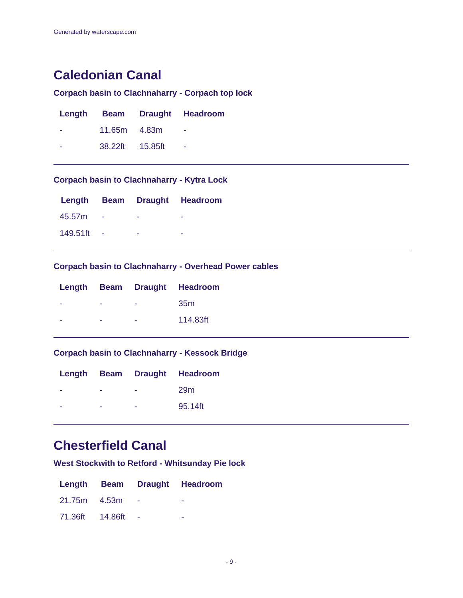# **Caledonian Canal**

# **Corpach basin to Clachnaharry - Corpach top lock**

|                  | Length Beam Draught Headroom |
|------------------|------------------------------|
| $11.65m$ $4.83m$ | $\sim$                       |
| 38.22ft 15.85ft  | $\sim$                       |

# **Corpach basin to Clachnaharry - Kytra Lock**

|          |  | Length Beam Draught Headroom |
|----------|--|------------------------------|
| 45.57m   |  |                              |
| 149.51ft |  |                              |

### **Corpach basin to Clachnaharry - Overhead Power cables**

|  |   | Length Beam Draught Headroom |
|--|---|------------------------------|
|  | - | 35 <sub>m</sub>              |
|  |   | 114.83ft                     |
|  |   |                              |

## **Corpach basin to Clachnaharry - Kessock Bridge**

|  | Length Beam Draught Headroom |
|--|------------------------------|
|  | 29 <sub>m</sub>              |
|  | 95.14ft                      |

# **Chesterfield Canal**

**West Stockwith to Retford - Whitsunday Pie lock**

|                 |        | Length Beam Draught Headroom |
|-----------------|--------|------------------------------|
| 21.75m 4.53m    |        | ۰                            |
| 71.36ft 14.86ft | $\sim$ | ۰                            |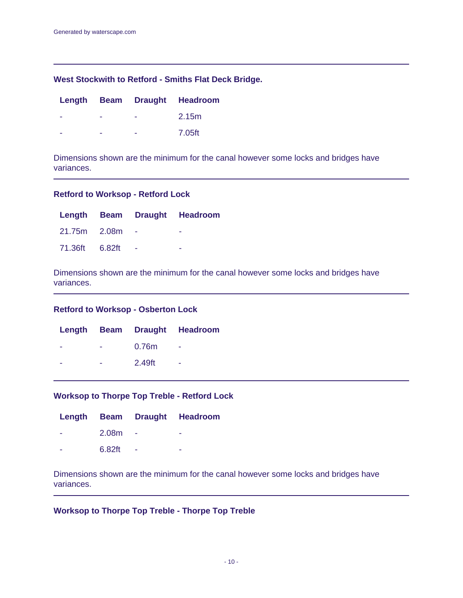### **West Stockwith to Retford - Smiths Flat Deck Bridge.**

|   | Length Beam Draught Headroom |
|---|------------------------------|
|   | 2.15m                        |
| - | 7.05ft                       |

Dimensions shown are the minimum for the canal however some locks and bridges have variances.

#### **Retford to Worksop - Retford Lock**

|                |  | Length Beam Draught Headroom |
|----------------|--|------------------------------|
| 21.75m 2.08m   |  | -                            |
| 71.36ft 6.82ft |  | -                            |

Dimensions shown are the minimum for the canal however some locks and bridges have variances.

#### **Retford to Worksop - Osberton Lock**

|   |                   | Length Beam Draught Headroom |
|---|-------------------|------------------------------|
| - | 0.76 <sub>m</sub> | ٠                            |
| ۰ | 2.49ft            | -                            |

#### **Worksop to Thorpe Top Treble - Retford Lock**

|        |        | Length Beam Draught Headroom |
|--------|--------|------------------------------|
| 2.08m  |        |                              |
| 6.82ft | $\sim$ |                              |

Dimensions shown are the minimum for the canal however some locks and bridges have variances.

### **Worksop to Thorpe Top Treble - Thorpe Top Treble**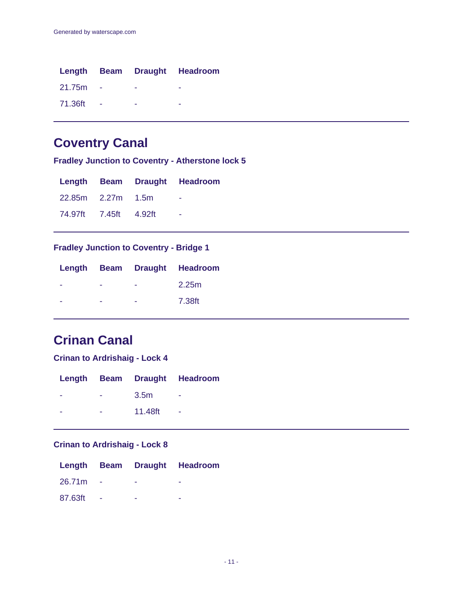|         |     |   | Length Beam Draught Headroom |
|---------|-----|---|------------------------------|
| 21.75m  |     |   |                              |
| 71.36ft | - - | - | -                            |

# **Coventry Canal**

**Fradley Junction to Coventry - Atherstone lock 5**

|                       |  | Length Beam Draught Headroom |
|-----------------------|--|------------------------------|
| 22.85m 2.27m 1.5m     |  | - 11                         |
| 74.97ft 7.45ft 4.92ft |  | $\overline{\phantom{a}}$     |

# **Fradley Junction to Coventry - Bridge 1**

|   |   | Length Beam Draught Headroom |
|---|---|------------------------------|
| - | - | 2.25m                        |
|   | - | 7.38ft                       |

# **Crinan Canal**

### **Crinan to Ardrishaig - Lock 4**

|   |                  | Length Beam Draught Headroom |
|---|------------------|------------------------------|
| - | 3.5 <sub>m</sub> |                              |
| - | 11.48ft          |                              |

## **Crinan to Ardrishaig - Lock 8**

|         |  | Length Beam Draught Headroom |
|---------|--|------------------------------|
| 26.71m  |  |                              |
| 87.63ft |  |                              |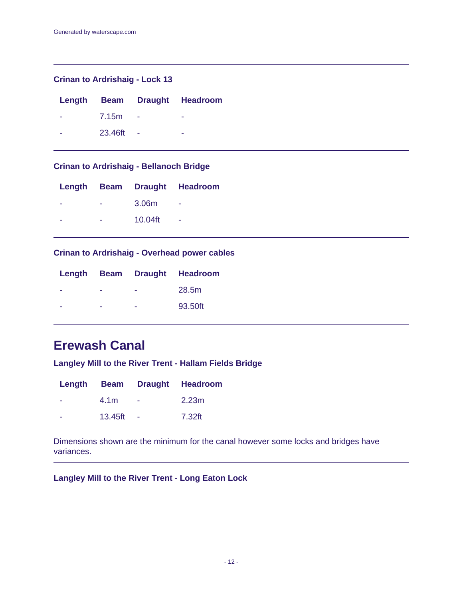### **Crinan to Ardrishaig - Lock 13**

|   |              |     | Length Beam Draught Headroom |
|---|--------------|-----|------------------------------|
| ÷ | <b>7.15m</b> |     | -                            |
|   | 23.46ft      | - 4 |                              |

# **Crinan to Ardrishaig - Bellanoch Bridge**

|   |            | Length Beam Draught Headroom |
|---|------------|------------------------------|
| ۰ | 3.06m      |                              |
| - | $10.04$ ft | ۰                            |
|   |            |                              |

## **Crinan to Ardrishaig - Overhead power cables**

|   | Length Beam Draught Headroom |
|---|------------------------------|
| - | 28.5m                        |
|   | 93.50ft                      |

# **Erewash Canal**

**Langley Mill to the River Trent - Hallam Fields Bridge**

|                  | Length Beam Draught Headroom |
|------------------|------------------------------|
| 4.1 <sub>m</sub> | 2.23 <sub>m</sub>            |
| 13.45ft          | 7.32ft                       |

Dimensions shown are the minimum for the canal however some locks and bridges have variances.

**Langley Mill to the River Trent - Long Eaton Lock**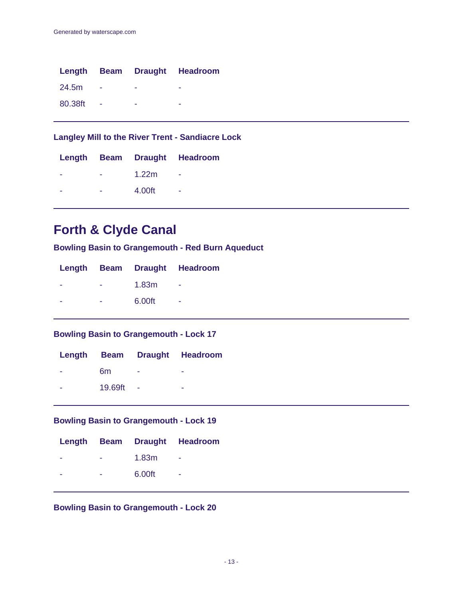|         |                 |   | Length Beam Draught Headroom |
|---------|-----------------|---|------------------------------|
| 24.5m   | $\sim 100$      | - |                              |
| 80.38ft | <b>Contract</b> | ۰ |                              |

**Langley Mill to the River Trent - Sandiacre Lock**

|  |        | Length Beam Draught Headroom |
|--|--------|------------------------------|
|  | 1.22m  |                              |
|  | 4.00ft | ۰                            |

# **Forth & Clyde Canal**

**Bowling Basin to Grangemouth - Red Burn Aqueduct**

|   |        | Length Beam Draught Headroom |
|---|--------|------------------------------|
| - | 1.83m  |                              |
| ۰ | 6.00ft |                              |

**Bowling Basin to Grangemouth - Lock 17**

|         |                          | Length Beam Draught Headroom |
|---------|--------------------------|------------------------------|
| 6m      | $\overline{\phantom{a}}$ | -                            |
| 19.69ft | $\sim$                   | -                            |

## **Bowling Basin to Grangemouth - Lock 19**

|   |        | Length Beam Draught Headroom |
|---|--------|------------------------------|
| - | 1.83m  |                              |
| ۰ | 6.00ft | ۰                            |
|   |        |                              |

**Bowling Basin to Grangemouth - Lock 20**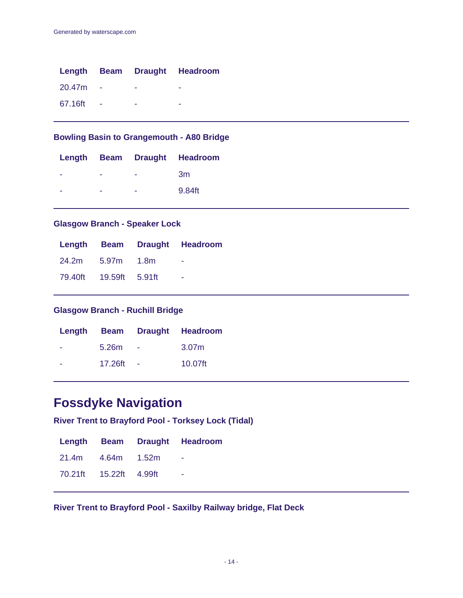|         |        | Length Beam Draught Headroom |
|---------|--------|------------------------------|
| 20.47m  |        |                              |
| 67.16ft | $\sim$ | -                            |

## **Bowling Basin to Grangemouth - A80 Bridge**

|   | Length Beam Draught Headroom |
|---|------------------------------|
|   | 3m                           |
| - | 9.84ft                       |

### **Glasgow Branch - Speaker Lock**

|                        |  | Length Beam Draught Headroom |
|------------------------|--|------------------------------|
| 24.2m 5.97m 1.8m       |  | ۰                            |
| 79.40ft 19.59ft 5.91ft |  | - 1                          |

## **Glasgow Branch - Ruchill Bridge**

|                   |        | Length Beam Draught Headroom |
|-------------------|--------|------------------------------|
| 5.26 <sub>m</sub> | $\sim$ | 3.07 <sub>m</sub>            |
| 17.26ft           | $\sim$ | $10.07$ ft                   |

# **Fossdyke Navigation**

**River Trent to Brayford Pool - Torksey Lock (Tidal)**

|                        | Length Beam Draught Headroom |
|------------------------|------------------------------|
| 21.4m  4.64m  1.52m    |                              |
| 70.21ft 15.22ft 4.99ft | - 11                         |

**River Trent to Brayford Pool - Saxilby Railway bridge, Flat Deck**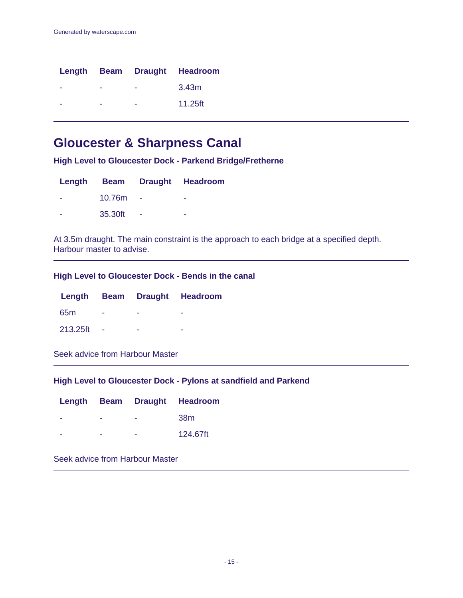|   |   | Length Beam Draught Headroom |
|---|---|------------------------------|
|   |   | 3.43m                        |
| ۰ | - | 11.25ft                      |

# **Gloucester & Sharpness Canal**

**High Level to Gloucester Dock - Parkend Bridge/Fretherne**

|                          |         |                          | Length Beam Draught Headroom |
|--------------------------|---------|--------------------------|------------------------------|
| $\overline{\phantom{a}}$ | 10.76m  |                          | ۰                            |
| -                        | 35.30ft | $\overline{\phantom{a}}$ | ۰                            |

At 3.5m draught. The main constraint is the approach to each bridge at a specified depth. Harbour master to advise.

## **High Level to Gloucester Dock - Bends in the canal**

|                 |  | Length Beam Draught Headroom |
|-----------------|--|------------------------------|
| 65 <sub>m</sub> |  |                              |
| 213.25ft        |  |                              |

Seek advice from Harbour Master

### **High Level to Gloucester Dock - Pylons at sandfield and Parkend**

|   |   | Length Beam Draught Headroom |
|---|---|------------------------------|
| - | - | 38m                          |
| - | - | 124.67ft                     |

Seek advice from Harbour Master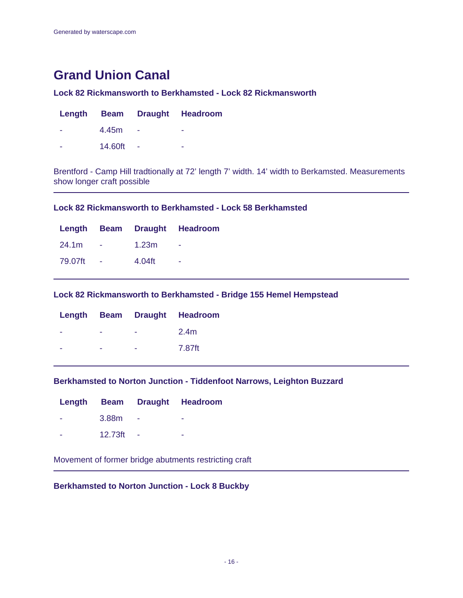# **Grand Union Canal**

### **Lock 82 Rickmansworth to Berkhamsted - Lock 82 Rickmansworth**

|         | Length Beam Draught Headroom |
|---------|------------------------------|
| 4.45m   | -                            |
| 14.60ft |                              |

Brentford - Camp Hill tradtionally at 72' length 7' width. 14' width to Berkamsted. Measurements show longer craft possible

### **Lock 82 Rickmansworth to Berkhamsted - Lock 58 Berkhamsted**

|  |                    | Length Beam Draught Headroom |
|--|--------------------|------------------------------|
|  | $24.1m - 1.23m -$  |                              |
|  | 79.07ft - 4.04ft - |                              |

### **Lock 82 Rickmansworth to Berkhamsted - Bridge 155 Hemel Hempstead**

|  |   | Length Beam Draught Headroom |
|--|---|------------------------------|
|  | - | 2.4m                         |
|  | - | 7.87ft                       |

### **Berkhamsted to Norton Junction - Tiddenfoot Narrows, Leighton Buzzard**

|         | Length Beam Draught Headroom |
|---------|------------------------------|
| 3.88m   |                              |
| 12.73ft | -                            |

Movement of former bridge abutments restricting craft

### **Berkhamsted to Norton Junction - Lock 8 Buckby**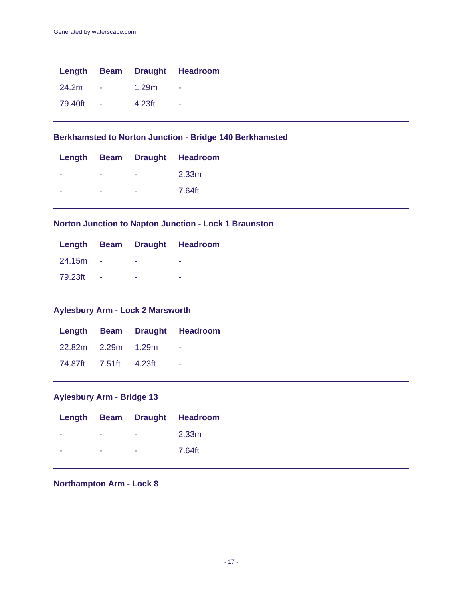|         |                 |        | Length Beam Draught Headroom |
|---------|-----------------|--------|------------------------------|
| 24.2m   |                 | 1.29m  |                              |
| 79.40ft | <b>Contract</b> | 4.23ft | ۰                            |

**Berkhamsted to Norton Junction - Bridge 140 Berkhamsted**

|  | Length Beam Draught Headroom |
|--|------------------------------|
|  | 2.33 <sub>m</sub>            |
|  | 7.64ft                       |

### **Norton Junction to Napton Junction - Lock 1 Braunston**

|              |                          | Length Beam Draught Headroom |
|--------------|--------------------------|------------------------------|
| 24.15m - - - |                          | $\overline{\phantom{a}}$     |
| 79.23ft -    | <b>Contract Contract</b> | -                            |

## **Aylesbury Arm - Lock 2 Marsworth**

|                       |  | Length Beam Draught Headroom |
|-----------------------|--|------------------------------|
| 22.82m 2.29m 1.29m    |  |                              |
| 74.87ft 7.51ft 4.23ft |  | - -                          |

# **Aylesbury Arm - Bridge 13**

|   |                          |                        | Length Beam Draught Headroom |
|---|--------------------------|------------------------|------------------------------|
| ۰ | $\sim$                   | <b>Contact Contact</b> | 2.33m                        |
| - | $\overline{\phantom{a}}$ | <b>Service</b>         | 7.64ft                       |

## **Northampton Arm - Lock 8**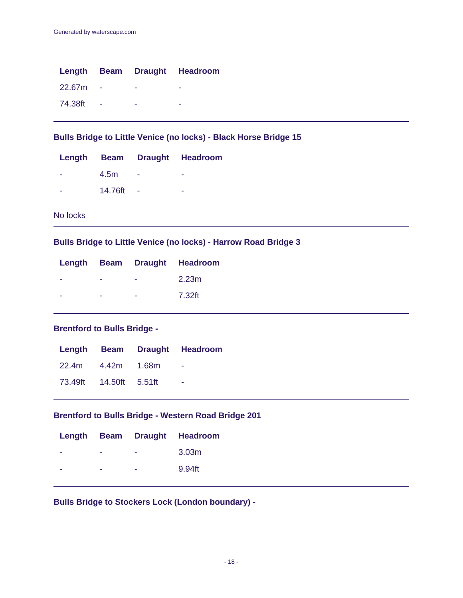|         |  | Length Beam Draught Headroom |
|---------|--|------------------------------|
| 22.67m  |  |                              |
| 74.38ft |  |                              |

**Bulls Bridge to Little Venice (no locks) - Black Horse Bridge 15**

|         |        | Length Beam Draught Headroom |
|---------|--------|------------------------------|
| 4.5m    | $\sim$ | -                            |
| 14.76ft |        | -                            |

No locks

**Bulls Bridge to Little Venice (no locks) - Harrow Road Bridge 3**

|  |   | Length Beam Draught Headroom |
|--|---|------------------------------|
|  | - | 2.23m                        |
|  | - | 7.32ft                       |

## **Brentford to Bulls Bridge -**

|  |                             | Length Beam Draught Headroom |
|--|-----------------------------|------------------------------|
|  | 22.4m  4.42m  1.68m  -      |                              |
|  | 73.49ft  14.50ft  5.51ft  - |                              |

### **Brentford to Bulls Bridge - Western Road Bridge 201**

|  | Length Beam Draught Headroom |
|--|------------------------------|
|  | 3.03 <sub>m</sub>            |
|  | 9.94ft                       |

**Bulls Bridge to Stockers Lock (London boundary) -**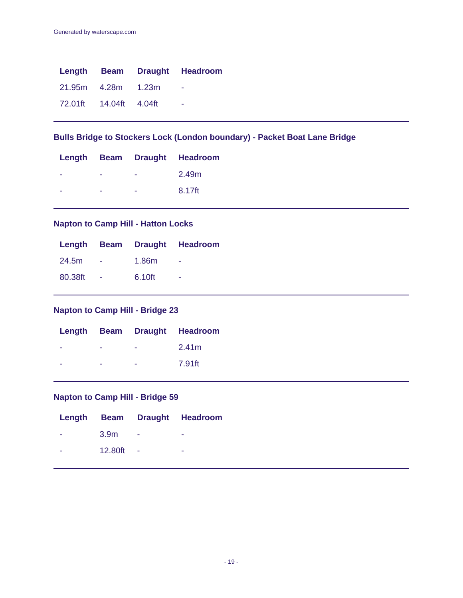|                        | Length Beam Draught Headroom |
|------------------------|------------------------------|
| 21.95m 4.28m 1.23m     | - -                          |
| 72.01ft 14.04ft 4.04ft | - -                          |

# **Bulls Bridge to Stockers Lock (London boundary) - Packet Boat Lane Bridge**

|   |   | Length Beam Draught Headroom |
|---|---|------------------------------|
|   | - | 2.49m                        |
| - | - | 8.17ft                       |

### **Napton to Camp Hill - Hatton Locks**

|  |                    | Length Beam Draught Headroom |
|--|--------------------|------------------------------|
|  | 24.5m - 1.86m -    |                              |
|  | 80.38ft - 6.10ft - |                              |

# **Napton to Camp Hill - Bridge 23**

|  |   | Length Beam Draught Headroom |
|--|---|------------------------------|
|  | - | 2.41m                        |
|  | - | 7.91ft                       |

# **Napton to Camp Hill - Bridge 59**

|                      |             |            | Length Beam Draught Headroom |
|----------------------|-------------|------------|------------------------------|
| <b>All Contracts</b> |             | $3.9m$ - - |                              |
| a ser                | $12.80ft -$ |            | <b>Contract Contract</b>     |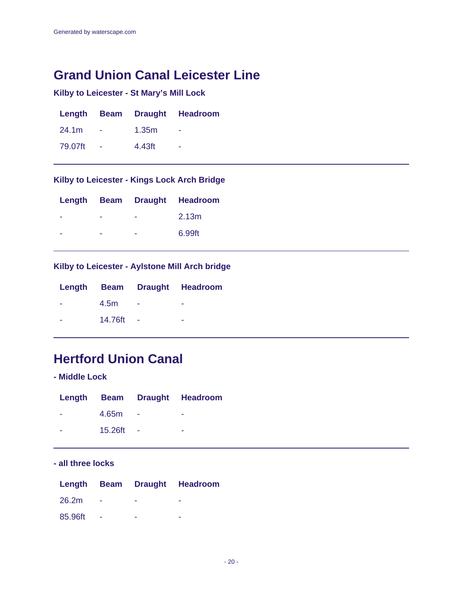# **Grand Union Canal Leicester Line**

# **Kilby to Leicester - St Mary's Mill Lock**

|         |        | Length Beam Draught Headroom |
|---------|--------|------------------------------|
| 24.1m   | 1.35m  |                              |
| 79.07ft | 4.43ft |                              |

## **Kilby to Leicester - Kings Lock Arch Bridge**

|   |   | Length Beam Draught Headroom |
|---|---|------------------------------|
| - | - | 2.13 <sub>m</sub>            |
| - |   | 6.99ft                       |

## **Kilby to Leicester - Aylstone Mill Arch bridge**

|         |   | Length Beam Draught Headroom |
|---------|---|------------------------------|
| 4.5m    | ٠ |                              |
| 14.76ft |   |                              |

# **Hertford Union Canal**

**- Middle Lock**

|         | Length Beam Draught Headroom |
|---------|------------------------------|
| 4.65m   |                              |
| 15.26ft |                              |

### **- all three locks**

|         |     | Length Beam Draught Headroom |
|---------|-----|------------------------------|
| 26.2m   | - 1 |                              |
| 85.96ft |     |                              |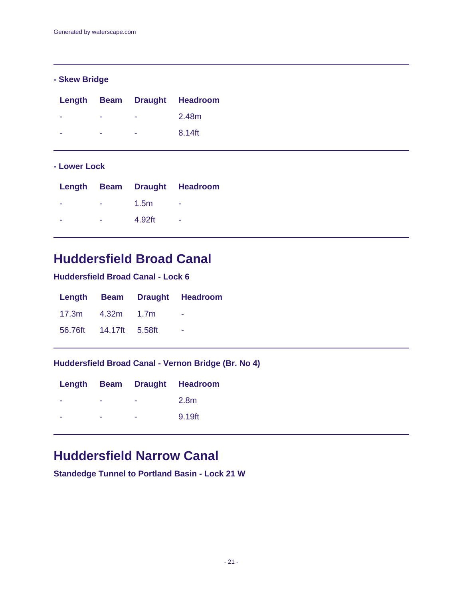## **- Skew Bridge**

|   | Length Beam Draught Headroom |
|---|------------------------------|
| - | 2.48m                        |
| - | 8.14ft                       |

### **- Lower Lock**

| Length Beam Draught Headroom |
|------------------------------|
|                              |
|                              |
|                              |

# **Huddersfield Broad Canal**

## **Huddersfield Broad Canal - Lock 6**

|                        |  | Length Beam Draught Headroom |
|------------------------|--|------------------------------|
| 17.3m  4.32m  1.7m     |  | - 1                          |
| 56.76ft 14.17ft 5.58ft |  | - 11                         |

### **Huddersfield Broad Canal - Vernon Bridge (Br. No 4)**

|  |   | Length Beam Draught Headroom |
|--|---|------------------------------|
|  |   | 2.8m                         |
|  | - | 9.19ft                       |

# **Huddersfield Narrow Canal**

**Standedge Tunnel to Portland Basin - Lock 21 W**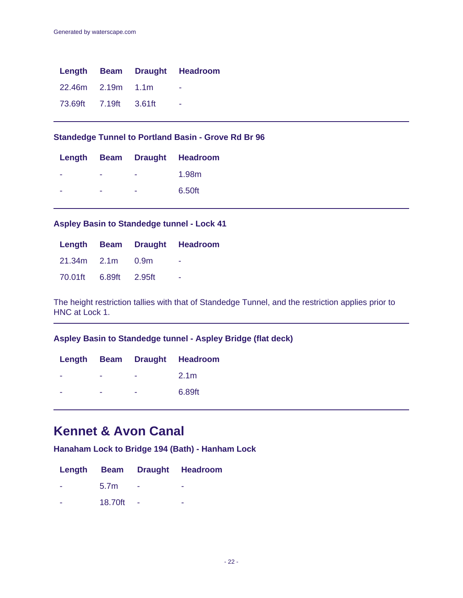|                       |  | Length Beam Draught Headroom |
|-----------------------|--|------------------------------|
| 22.46m 2.19m 1.1m     |  | - 11                         |
| 73.69ft 7.19ft 3.61ft |  | . .                          |

### **Standedge Tunnel to Portland Basin - Grove Rd Br 96**

|   |   | Length Beam Draught Headroom |
|---|---|------------------------------|
|   |   | 1.98m                        |
| ۰ | - | 6.50ft                       |

### **Aspley Basin to Standedge tunnel - Lock 41**

|                       |  | Length Beam Draught Headroom |
|-----------------------|--|------------------------------|
| 21.34m 2.1m 0.9m      |  | ۰                            |
| 70.01ft 6.89ft 2.95ft |  | ۰                            |

The height restriction tallies with that of Standedge Tunnel, and the restriction applies prior to HNC at Lock 1.

## **Aspley Basin to Standedge tunnel - Aspley Bridge (flat deck)**

|   |   | Length Beam Draught Headroom |
|---|---|------------------------------|
|   | - | 2.1 <sub>m</sub>             |
| - | - | 6.89ft                       |

# **Kennet & Avon Canal**

**Hanaham Lock to Bridge 194 (Bath) - Hanham Lock**

|                  | Length Beam Draught Headroom |
|------------------|------------------------------|
| 5.7 <sub>m</sub> | -                            |
| 18.70ft          | -                            |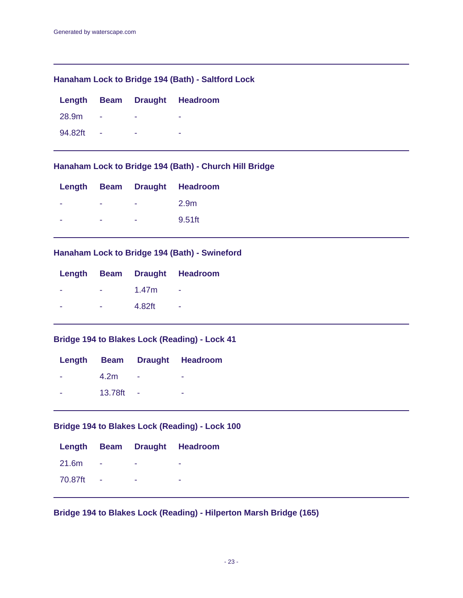### **Hanaham Lock to Bridge 194 (Bath) - Saltford Lock**

|         |  | Length Beam Draught Headroom |
|---------|--|------------------------------|
| 28.9m   |  |                              |
| 94.82ft |  | -                            |

## **Hanaham Lock to Bridge 194 (Bath) - Church Hill Bridge**

| - | 2.9m                         |
|---|------------------------------|
| - | 9.51ft                       |
|   | Length Beam Draught Headroom |

## **Hanaham Lock to Bridge 194 (Bath) - Swineford**

| - | 1.47m  |                              |
|---|--------|------------------------------|
|   | 4.82ft | ۰                            |
|   |        | Length Beam Draught Headroom |

## **Bridge 194 to Blakes Lock (Reading) - Lock 41**

|                  | Length Beam Draught Headroom |
|------------------|------------------------------|
| 4.2 <sub>m</sub> |                              |
| 13.78ft          | ۰                            |

## **Bridge 194 to Blakes Lock (Reading) - Lock 100**

|         |  | Length Beam Draught Headroom |
|---------|--|------------------------------|
| 21.6m   |  |                              |
| 70.87ft |  |                              |

**Bridge 194 to Blakes Lock (Reading) - Hilperton Marsh Bridge (165)**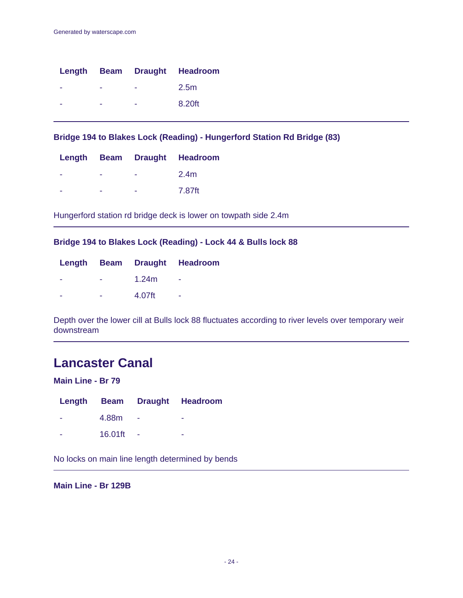|  |   | Length Beam Draught Headroom |
|--|---|------------------------------|
|  |   | 2.5m                         |
|  | - | 8.20ft                       |

**Bridge 194 to Blakes Lock (Reading) - Hungerford Station Rd Bridge (83)**

|  |   | Length Beam Draught Headroom |
|--|---|------------------------------|
|  | - | 2.4m                         |
|  |   | 7.87ft                       |

Hungerford station rd bridge deck is lower on towpath side 2.4m

### **Bridge 194 to Blakes Lock (Reading) - Lock 44 & Bulls lock 88**

|   |        | Length Beam Draught Headroom |
|---|--------|------------------------------|
| - | 1.24m  | ۰                            |
| - | 4.07ft | ۰                            |

Depth over the lower cill at Bulls lock 88 fluctuates according to river levels over temporary weir downstream

# **Lancaster Canal**

### **Main Line - Br 79**

|   |         |                           | Length Beam Draught Headroom |
|---|---------|---------------------------|------------------------------|
| ۰ | 4.88m   |                           |                              |
| - | 16.01ft | <b><i><u>ALCO</u></i></b> |                              |

No locks on main line length determined by bends

**Main Line - Br 129B**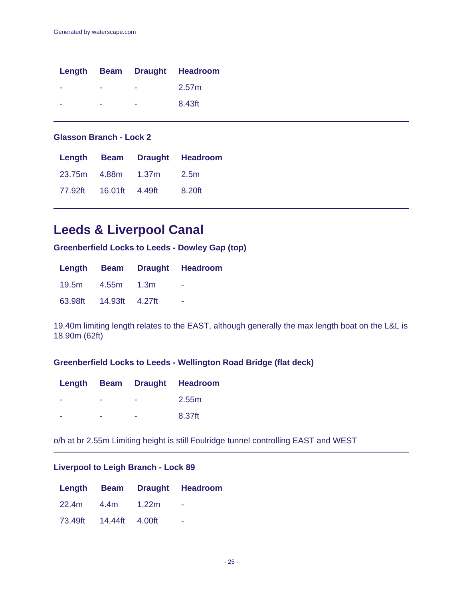|  |   | Length Beam Draught Headroom |
|--|---|------------------------------|
|  | - | 2.57m                        |
|  |   | 8.43ft                       |

### **Glasson Branch - Lock 2**

|                        |                         | Length Beam Draught Headroom |
|------------------------|-------------------------|------------------------------|
|                        | 23.75m 4.88m 1.37m 2.5m |                              |
| 77.92ft 16.01ft 4.49ft |                         | 8.20ft                       |

# **Leeds & Liverpool Canal**

**Greenberfield Locks to Leeds - Dowley Gap (top)**

|                        | Length Beam Draught Headroom |
|------------------------|------------------------------|
| 19.5m  4.55m  1.3m     | - 11                         |
| 63.98ft 14.93ft 4.27ft | $\overline{\phantom{a}}$     |

19.40m limiting length relates to the EAST, although generally the max length boat on the L&L is 18.90m (62ft)

### **Greenberfield Locks to Leeds - Wellington Road Bridge (flat deck)**

|  |   | Length Beam Draught Headroom |
|--|---|------------------------------|
|  | - | 2.55m                        |
|  | - | 8.37ft                       |

o/h at br 2.55m Limiting height is still Foulridge tunnel controlling EAST and WEST

### **Liverpool to Leigh Branch - Lock 89**

|                        | Length Beam Draught Headroom |
|------------------------|------------------------------|
| 22.4m 4.4m 1.22m       |                              |
| 73.49ft 14.44ft 4.00ft | ۰                            |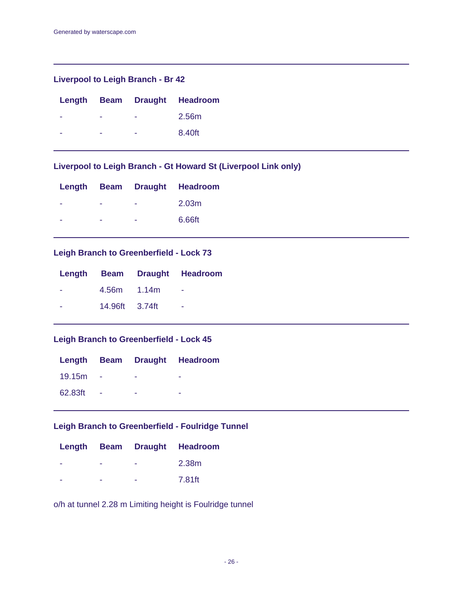### **Liverpool to Leigh Branch - Br 42**

|  |   | Length Beam Draught Headroom |
|--|---|------------------------------|
|  |   | 2.56m                        |
|  | - | 8.40ft                       |

## **Liverpool to Leigh Branch - Gt Howard St (Liverpool Link only)**

|   | - | 2.03 <sub>m</sub>            |
|---|---|------------------------------|
| - | - | 6.66ft                       |
|   |   | Length Beam Draught Headroom |

## **Leigh Branch to Greenberfield - Lock 73**

|                | Length Beam Draught Headroom |
|----------------|------------------------------|
| 4.56m 1.14m    | - -                          |
| 14.96ft 3.74ft | ۰                            |

### **Leigh Branch to Greenberfield - Lock 45**

|         |                | Length Beam Draught Headroom |
|---------|----------------|------------------------------|
| 19.15m  |                |                              |
| 62.83ft | <b>College</b> |                              |

### **Leigh Branch to Greenberfield - Foulridge Tunnel**

|  | Length Beam Draught Headroom |
|--|------------------------------|
|  | 2.38m                        |
|  | 7.81ft                       |

o/h at tunnel 2.28 m Limiting height is Foulridge tunnel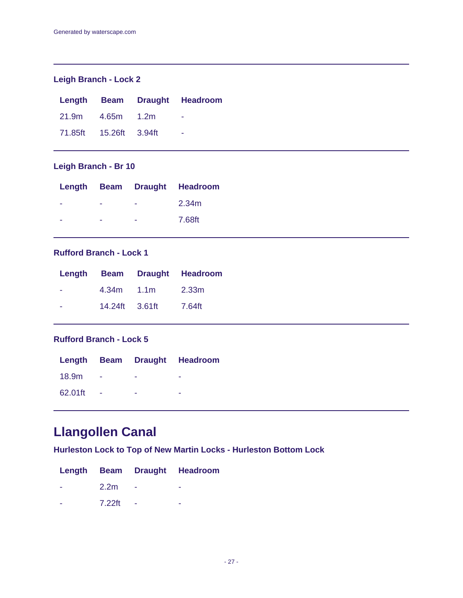# **Leigh Branch - Lock 2**

|                        |                  | Length Beam Draught Headroom |
|------------------------|------------------|------------------------------|
|                        | 21.9m 4.65m 1.2m | $\sim$                       |
| 71.85ft 15.26ft 3.94ft |                  | - 11                         |

## **Leigh Branch - Br 10**

|   |   | Length Beam Draught Headroom |
|---|---|------------------------------|
|   | - | 2.34m                        |
| - | - | 7.68ft                       |

## **Rufford Branch - Lock 1**

|                | Length Beam Draught Headroom |
|----------------|------------------------------|
| $4.34m$ $1.1m$ | 2.33m                        |
| 14.24ft 3.61ft | 7.64ft                       |

## **Rufford Branch - Lock 5**

|         |   | Length Beam Draught Headroom |
|---------|---|------------------------------|
| 18.9m   | - |                              |
| 62.01ft |   |                              |

# **Llangollen Canal**

**Hurleston Lock to Top of New Martin Locks - Hurleston Bottom Lock**

|                  | Length Beam Draught Headroom |
|------------------|------------------------------|
| 2.2 <sub>m</sub> |                              |
| 7.22ft           | ۰                            |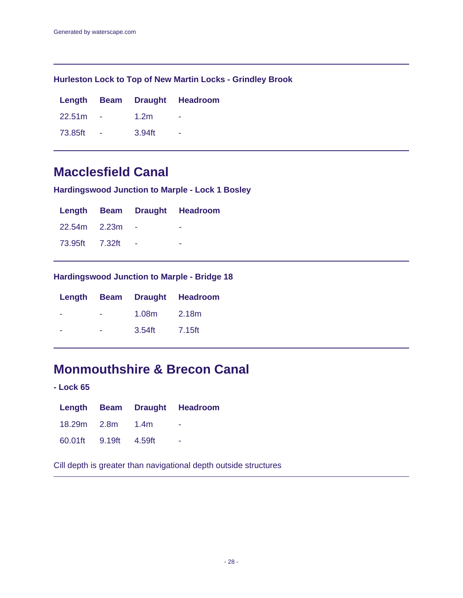### **Hurleston Lock to Top of New Martin Locks - Grindley Brook**

|         |                  | Length Beam Draught Headroom |
|---------|------------------|------------------------------|
| 22.51m  | 1.2 <sub>m</sub> | ۰                            |
| 73.85ft | $3.94$ ft        | ۰                            |

# **Macclesfield Canal**

**Hardingswood Junction to Marple - Lock 1 Bosley**

|                |  | Length Beam Draught Headroom |
|----------------|--|------------------------------|
| 22.54m 2.23m   |  |                              |
| 73.95ft 7.32ft |  |                              |

## **Hardingswood Junction to Marple - Bridge 18**

|   |           | Length Beam Draught Headroom |
|---|-----------|------------------------------|
| ÷ | 1.08m     | 2.18m                        |
| - | $3.54$ ft | 7.15ft                       |

# **Monmouthshire & Brecon Canal**

**- Lock 65**

|                       |  | Length Beam Draught Headroom |
|-----------------------|--|------------------------------|
| 18.29m 2.8m 1.4m      |  | $\sim$                       |
| 60.01ft 9.19ft 4.59ft |  |                              |

Cill depth is greater than navigational depth outside structures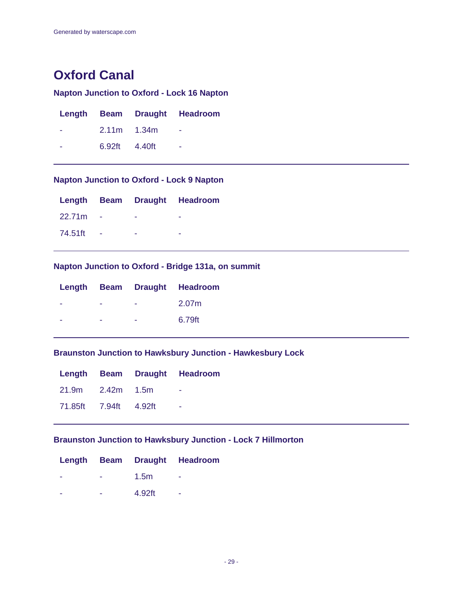# **Oxford Canal**

# **Napton Junction to Oxford - Lock 16 Napton**

|               | Length Beam Draught Headroom |
|---------------|------------------------------|
| $2.11m$ 1.34m |                              |
| 6.92ft 4.40ft | ۰                            |

## **Napton Junction to Oxford - Lock 9 Napton**

|         |  | Length Beam Draught Headroom |
|---------|--|------------------------------|
| 22.71m  |  |                              |
| 74.51ft |  |                              |

## **Napton Junction to Oxford - Bridge 131a, on summit**

| - | 2.07m                        |
|---|------------------------------|
|   | 6.79ft                       |
|   | Length Beam Draught Headroom |

### **Braunston Junction to Hawksbury Junction - Hawkesbury Lock**

|                       |  | Length Beam Draught Headroom |
|-----------------------|--|------------------------------|
| 21.9m 2.42m 1.5m      |  | - -                          |
| 71.85ft 7.94ft 4.92ft |  | ۰                            |

## **Braunston Junction to Hawksbury Junction - Lock 7 Hillmorton**

|  |                  | Length Beam Draught Headroom |
|--|------------------|------------------------------|
|  | 1.5 <sub>m</sub> | ۰                            |
|  | 4.92ft           | ۰                            |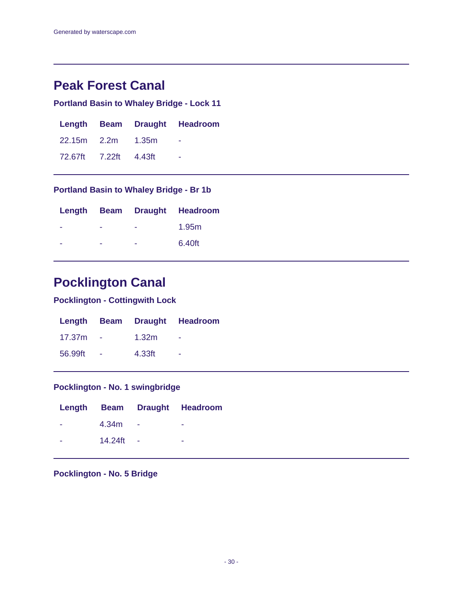# **Peak Forest Canal**

# **Portland Basin to Whaley Bridge - Lock 11**

|                       |  | Length Beam Draught Headroom |
|-----------------------|--|------------------------------|
| 22.15m 2.2m 1.35m     |  | <b>Contract Contract</b>     |
| 72.67ft 7.22ft 4.43ft |  |                              |

### **Portland Basin to Whaley Bridge - Br 1b**

|   |   | Length Beam Draught Headroom |
|---|---|------------------------------|
|   |   | 1.95m                        |
| ۰ | - | 6.40ft                       |

# **Pocklington Canal**

# **Pocklington - Cottingwith Lock**

|         |        | Length Beam Draught Headroom |
|---------|--------|------------------------------|
| 17.37m  | 1.32m  |                              |
| 56.99ft | 4.33ft | ۰                            |

# **Pocklington - No. 1 swingbridge**

|   |         |        | Length Beam Draught Headroom |
|---|---------|--------|------------------------------|
| ۰ | 4.34m   | $\sim$ |                              |
|   | 14.24ft | - 4    |                              |

## **Pocklington - No. 5 Bridge**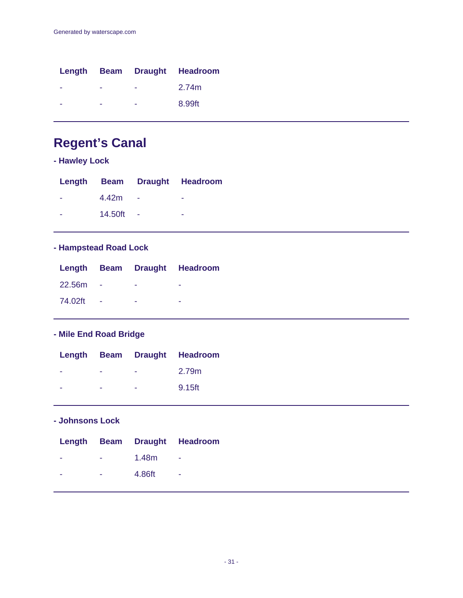|   |   | Length Beam Draught Headroom |
|---|---|------------------------------|
| - | - | 2.74m                        |
|   |   | 8.99ft                       |

# **Regent's Canal**

# **- Hawley Lock**

|   |         | Length Beam Draught Headroom |
|---|---------|------------------------------|
| ۰ | 4.42m   |                              |
| ۰ | 14.50ft |                              |

# **- Hampstead Road Lock**

|               |              | Length Beam Draught Headroom |
|---------------|--------------|------------------------------|
|               | $22.56m - -$ | $\sim$                       |
| 74.02ft - - - |              | ۰                            |

# **- Mile End Road Bridge**

|   |                          |                                | Length Beam Draught Headroom |
|---|--------------------------|--------------------------------|------------------------------|
| - | <b>Contract Contract</b> | and the company of the company | 2.79m                        |
| - | $\sim$                   | <b>Contractor</b>              | 9.15ft                       |

## **- Johnsons Lock**

|                          |                      |                | Length Beam Draught Headroom |
|--------------------------|----------------------|----------------|------------------------------|
|                          |                      | $   1.48m$ $-$ |                              |
| $\overline{\phantom{a}}$ | <b>Service</b> State | 4.86ft -       |                              |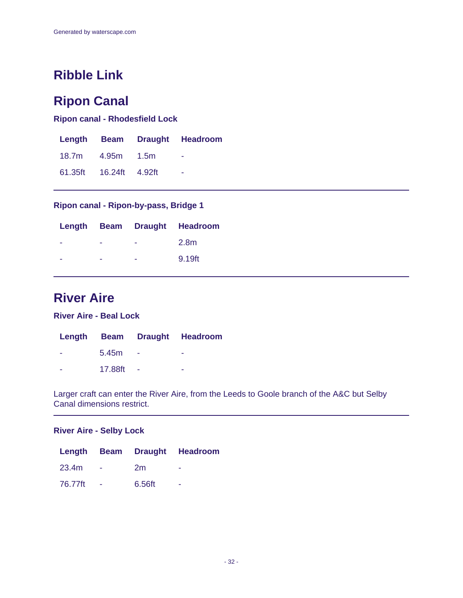# **Ribble Link**

# **Ripon Canal**

**Ripon canal - Rhodesfield Lock**

|                        | Length Beam Draught Headroom |
|------------------------|------------------------------|
| 18.7m  4.95m  1.5m     | <b>1999</b>                  |
| 61.35ft 16.24ft 4.92ft | ۰                            |

### **Ripon canal - Ripon-by-pass, Bridge 1**

|   |   | Length Beam Draught Headroom |
|---|---|------------------------------|
| - | - | 2.8m                         |
| - | - | 9.19ft                       |

# **River Aire**

**River Aire - Beal Lock**

|         | Length Beam Draught Headroom |
|---------|------------------------------|
| 5.45m   | -                            |
| 17.88ft | -                            |

Larger craft can enter the River Aire, from the Leeds to Goole branch of the A&C but Selby Canal dimensions restrict.

#### **River Aire - Selby Lock**

|         |                 |        | Length Beam Draught Headroom |
|---------|-----------------|--------|------------------------------|
| 23.4m   | <b>Contract</b> | 2m     | -                            |
| 76.77ft | $\sim$          | 6.56ft |                              |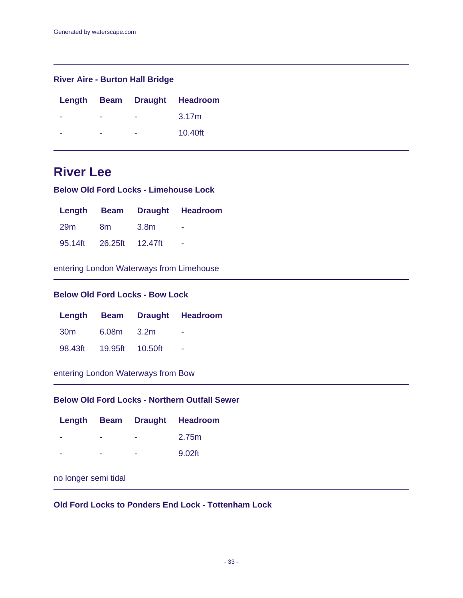### **River Aire - Burton Hall Bridge**

|  |   | Length Beam Draught Headroom |
|--|---|------------------------------|
|  | - | 3.17m                        |
|  | - | 10.40ft                      |

# **River Lee**

**Below Old Ford Locks - Limehouse Lock**

|                         |      | Length Beam Draught Headroom |
|-------------------------|------|------------------------------|
| 29m 8m                  | 3.8m | $\overline{\phantom{a}}$     |
| 95.14ft 26.25ft 12.47ft |      | $\sim$                       |

entering London Waterways from Limehouse

### **Below Old Ford Locks - Bow Lock**

|                         | Length Beam Draught Headroom |
|-------------------------|------------------------------|
| 30m 6.08m 3.2m          | - 11                         |
| 98.43ft 19.95ft 10.50ft |                              |

entering London Waterways from Bow

### **Below Old Ford Locks - Northern Outfall Sewer**

|   |   | Length Beam Draught Headroom |
|---|---|------------------------------|
| - | - | 2.75m                        |
| - | - | $9.02$ ft                    |

## no longer semi tidal

### **Old Ford Locks to Ponders End Lock - Tottenham Lock**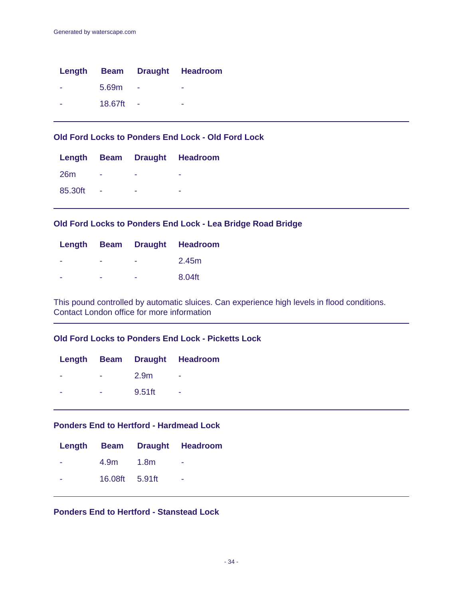|                          |         | Length Beam Draught Headroom |
|--------------------------|---------|------------------------------|
| $\overline{\phantom{a}}$ | 5.69m   | -                            |
| -                        | 18.67ft | -                            |

### **Old Ford Locks to Ponders End Lock - Old Ford Lock**

|         |        | Length Beam Draught Headroom |  |
|---------|--------|------------------------------|--|
| 26m     | ۰      |                              |  |
| 85.30ft | $\sim$ | -                            |  |

### **Old Ford Locks to Ponders End Lock - Lea Bridge Road Bridge**

|   |   | Length Beam Draught Headroom |
|---|---|------------------------------|
| - | - | 2.45m                        |
| - | - | 8.04ft                       |

This pound controlled by automatic sluices. Can experience high levels in flood conditions. Contact London office for more information

### **Old Ford Locks to Ponders End Lock - Picketts Lock**

|   |        | Length Beam Draught Headroom |
|---|--------|------------------------------|
| - | 2.9m   |                              |
| - | 9.51ft |                              |

### **Ponders End to Hertford - Hardmead Lock**

|   |                | Length Beam Draught Headroom |
|---|----------------|------------------------------|
|   | 4.9m 1.8m      |                              |
| ۰ | 16.08ft 5.91ft | ۰                            |

### **Ponders End to Hertford - Stanstead Lock**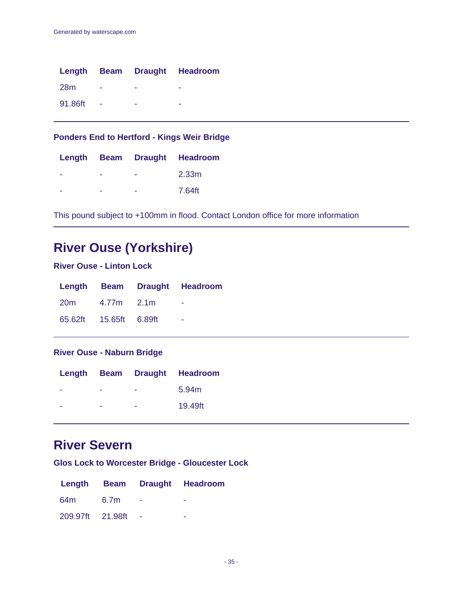|            |   | Length Beam Draught Headroom |
|------------|---|------------------------------|
| <b>28m</b> | - |                              |
| 91.86ft    |   |                              |

# **Ponders End to Hertford - Kings Weir Bridge**

|  | Length Beam Draught Headroom |
|--|------------------------------|
|  | 2.33m                        |
|  | 7.64ft                       |

This pound subject to +100mm in flood. Contact London office for more information

# **River Ouse (Yorkshire)**

### **River Ouse - Linton Lock**

|                |                        | Length Beam Draught Headroom |
|----------------|------------------------|------------------------------|
| 20m 4.77m 2.1m |                        |                              |
|                | 65.62ft 15.65ft 6.89ft | $\overline{\phantom{a}}$     |

### **River Ouse - Naburn Bridge**

|   |   | Length Beam Draught Headroom |
|---|---|------------------------------|
| - | - | 5.94m                        |
| - | - | 19.49ft                      |

# **River Severn**

**Glos Lock to Worcester Bridge - Gloucester Lock**

|                  |      | Length Beam Draught Headroom |
|------------------|------|------------------------------|
| 64m              | 6.7m |                              |
| 209.97ft 21.98ft |      |                              |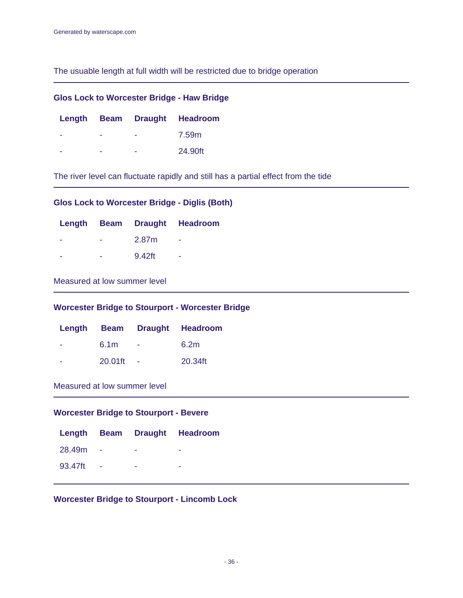The usuable length at full width will be restricted due to bridge operation

| <b>Glos Lock to Worcester Bridge - Haw Bridge</b> |  |  |                              |  |
|---------------------------------------------------|--|--|------------------------------|--|
|                                                   |  |  | Length Beam Draught Headroom |  |
|                                                   |  |  | 7.59m                        |  |
|                                                   |  |  | 24,90ft                      |  |

The river level can fluctuate rapidly and still has a partial effect from the tide

## **Glos Lock to Worcester Bridge - Diglis (Both)**

|   |        | Length Beam Draught Headroom |
|---|--------|------------------------------|
| - | 2.87m  | ۰                            |
| ۰ | 9.42ft | ۰                            |

### Measured at low summer level

### **Worcester Bridge to Stourport - Worcester Bridge**

|                  | Length Beam Draught Headroom |
|------------------|------------------------------|
| 6.1 <sub>m</sub> | 6.2m                         |
| 20.01ft          | 20.34ft                      |

### Measured at low summer level

### **Worcester Bridge to Stourport - Bevere**

|         |  | Length Beam Draught Headroom |
|---------|--|------------------------------|
| 28.49m  |  |                              |
| 93.47ft |  |                              |

### **Worcester Bridge to Stourport - Lincomb Lock**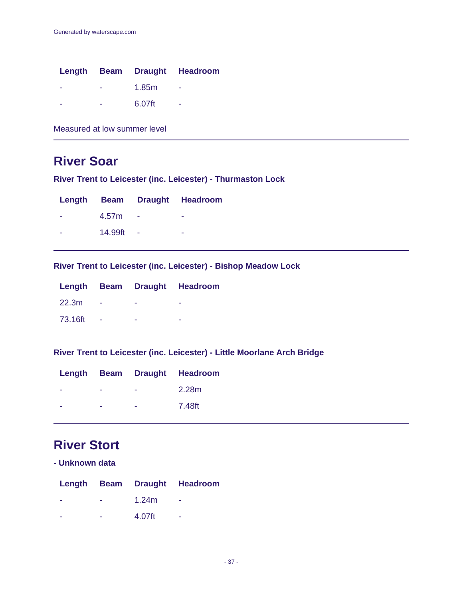|   |        | Length Beam Draught Headroom |
|---|--------|------------------------------|
| - | 1.85m  | -                            |
| - | 6.07ft | ۰                            |

Measured at low summer level

# **River Soar**

**River Trent to Leicester (inc. Leicester) - Thurmaston Lock**

|                   | Length Beam Draught Headroom |
|-------------------|------------------------------|
| 4.57 <sub>m</sub> | -                            |
| 14.99ft           | -                            |

**River Trent to Leicester (inc. Leicester) - Bishop Meadow Lock**

|         |  | Length Beam Draught Headroom |
|---------|--|------------------------------|
| 22.3m   |  |                              |
| 73.16ft |  |                              |

**River Trent to Leicester (inc. Leicester) - Little Moorlane Arch Bridge**

|  | Length Beam Draught Headroom |
|--|------------------------------|
|  | 2.28m                        |
|  | 7.48ft                       |

# **River Stort**

|  |  |  |  | - Unknown data |
|--|--|--|--|----------------|
|--|--|--|--|----------------|

|   |          | Length Beam Draught Headroom |
|---|----------|------------------------------|
| - | 1.24 $m$ | ۰                            |
|   | 4.07ft   | ۰                            |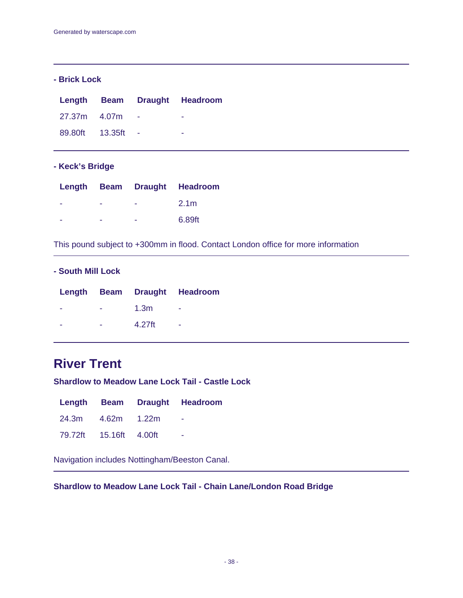### **- Brick Lock**

|                 |            | Length Beam Draught Headroom |
|-----------------|------------|------------------------------|
| 27.37m 4.07m    |            | -                            |
| 89.80ft 13.35ft | $\sim$ $-$ | ۰                            |

### **- Keck's Bridge**

|  |   | Length Beam Draught Headroom |
|--|---|------------------------------|
|  | - | 2.1 <sub>m</sub>             |
|  | - | 6.89ft                       |

This pound subject to +300mm in flood. Contact London office for more information

### **- South Mill Lock**

|   |                  | Length Beam Draught Headroom |
|---|------------------|------------------------------|
| ۰ | 1.3 <sub>m</sub> |                              |
| ۰ | 4.27ft           | -                            |

# **River Trent**

**Shardlow to Meadow Lane Lock Tail - Castle Lock**

|                        |  | Length Beam Draught Headroom     |
|------------------------|--|----------------------------------|
| 24.3m 4.62m 1.22m      |  | <b><i><u>Participate</u></i></b> |
| 79.72ft 15.16ft 4.00ft |  | $\sim$                           |

Navigation includes Nottingham/Beeston Canal.

**Shardlow to Meadow Lane Lock Tail - Chain Lane/London Road Bridge**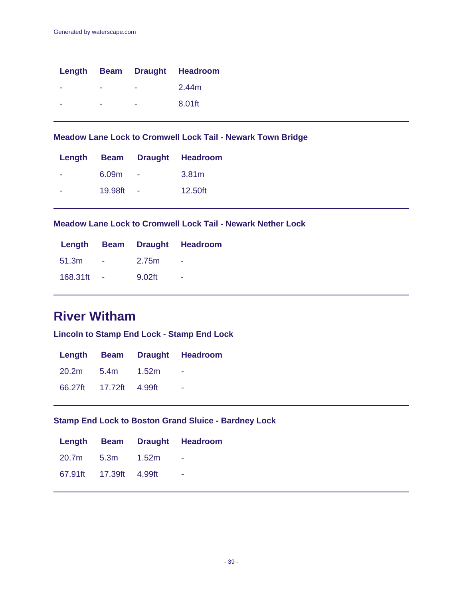|  |   | Length Beam Draught Headroom |
|--|---|------------------------------|
|  | - | 2.44m                        |
|  | - | 8.01ft                       |

**Meadow Lane Lock to Cromwell Lock Tail - Newark Town Bridge**

|                   |        | Length Beam Draught Headroom |
|-------------------|--------|------------------------------|
| 6.09 <sub>m</sub> |        | 3.81m                        |
| 19.98ft           | $\sim$ | 12.50ft                      |

**Meadow Lane Lock to Cromwell Lock Tail - Newark Nether Lock**

|          |        |        | Length Beam Draught Headroom |
|----------|--------|--------|------------------------------|
| 51.3m    |        | 2.75m  |                              |
| 168.31ft | $\sim$ | 9.02ft | $\overline{\phantom{a}}$     |

# **River Witham**

**Lincoln to Stamp End Lock - Stamp End Lock**

|                        | Length Beam Draught Headroom |
|------------------------|------------------------------|
| 20.2m 5.4m 1.52m       |                              |
| 66.27ft 17.72ft 4.99ft | ۰                            |

## **Stamp End Lock to Boston Grand Sluice - Bardney Lock**

|                        | Length Beam Draught Headroom |
|------------------------|------------------------------|
| 20.7m 5.3m 1.52m       | <b>Contract Contract</b>     |
| 67.91ft 17.39ft 4.99ft | - 11                         |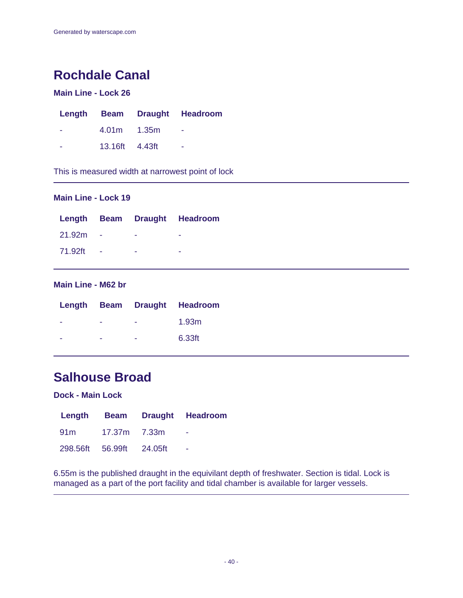# **Rochdale Canal**

## **Main Line - Lock 26**

|                | Length Beam Draught Headroom |
|----------------|------------------------------|
| 4.01m 1.35m    | $\sim$                       |
| 13.16ft 4.43ft | ۰                            |

This is measured width at narrowest point of lock

### **Main Line - Lock 19**

|         |  | Length Beam Draught Headroom |
|---------|--|------------------------------|
| 21.92m  |  |                              |
| 71.92ft |  |                              |

### **Main Line - M62 br**

|   |        |                 | Length Beam Draught Headroom |
|---|--------|-----------------|------------------------------|
| - | . н.   | and the company | 1.93m                        |
| - | $\sim$ | <b>Service</b>  | 6.33ft                       |

# **Salhouse Broad**

### **Dock - Main Lock**

|                          | Length Beam Draught Headroom |
|--------------------------|------------------------------|
| 91 m 17.37 m7.33 m       |                              |
| 298.56ft 56.99ft 24.05ft |                              |

6.55m is the published draught in the equivilant depth of freshwater. Section is tidal. Lock is managed as a part of the port facility and tidal chamber is available for larger vessels.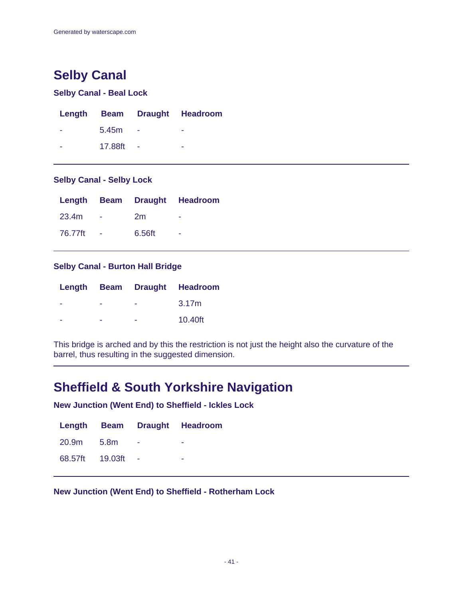# **Selby Canal**

### **Selby Canal - Beal Lock**

|   |         |        | Length Beam Draught Headroom |
|---|---------|--------|------------------------------|
| ۰ | 5.45m   |        |                              |
| - | 17.88ft | $\sim$ | ۰                            |

### **Selby Canal - Selby Lock**

|         |        | Length Beam Draught Headroom |
|---------|--------|------------------------------|
| 23.4m   | 2m     |                              |
| 76.77ft | 6.56ft |                              |

### **Selby Canal - Burton Hall Bridge**

|   |   | Length Beam Draught Headroom |
|---|---|------------------------------|
| - | - | 3.17m                        |
| - | - | 10.40ft                      |

This bridge is arched and by this the restriction is not just the height also the curvature of the barrel, thus resulting in the suggested dimension.

# **Sheffield & South Yorkshire Navigation**

**New Junction (Went End) to Sheffield - Ickles Lock**

|                 |        | Length Beam Draught Headroom |
|-----------------|--------|------------------------------|
| 20.9m 5.8m      | $\sim$ |                              |
| 68.57ft 19.03ft |        |                              |

**New Junction (Went End) to Sheffield - Rotherham Lock**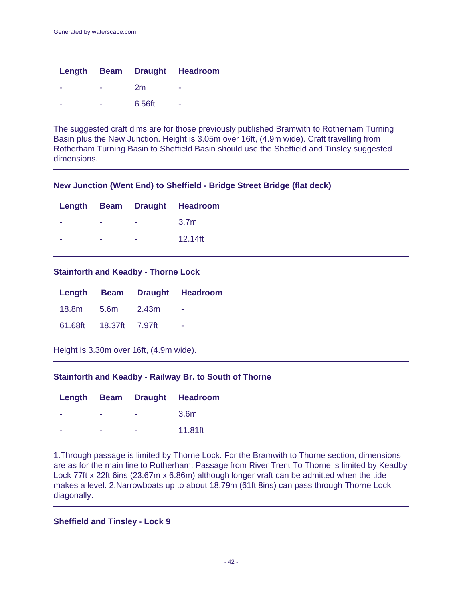|   |        | Length Beam Draught Headroom |
|---|--------|------------------------------|
|   | 2m     | ۰                            |
| - | 6.56ft | ۰                            |

The suggested craft dims are for those previously published Bramwith to Rotherham Turning Basin plus the New Junction. Height is 3.05m over 16ft, (4.9m wide). Craft travelling from Rotherham Turning Basin to Sheffield Basin should use the Sheffield and Tinsley suggested dimensions.

### **New Junction (Went End) to Sheffield - Bridge Street Bridge (flat deck)**

|   |   | Length Beam Draught Headroom |
|---|---|------------------------------|
|   | - | 3.7 <sub>m</sub>             |
| - | - | 12.14ft                      |

#### **Stainforth and Keadby - Thorne Lock**

|                        | Length Beam Draught Headroom |
|------------------------|------------------------------|
| 18.8m 5.6m 2.43m       |                              |
| 61.68ft 18.37ft 7.97ft | - 1                          |

Height is 3.30m over 16ft, (4.9m wide).

### **Stainforth and Keadby - Railway Br. to South of Thorne**

|  | Length Beam Draught Headroom |
|--|------------------------------|
|  | 3.6m                         |
|  | 11.81ft                      |

1.Through passage is limited by Thorne Lock. For the Bramwith to Thorne section, dimensions are as for the main line to Rotherham. Passage from River Trent To Thorne is limited by Keadby Lock 77ft x 22ft 6ins (23.67m x 6.86m) although longer vraft can be admitted when the tide makes a level. 2.Narrowboats up to about 18.79m (61ft 8ins) can pass through Thorne Lock diagonally.

### **Sheffield and Tinsley - Lock 9**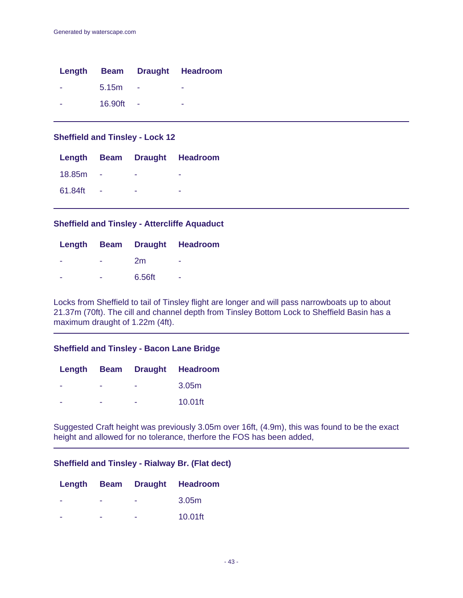|         |     | Length Beam Draught Headroom |
|---------|-----|------------------------------|
| 5.15m   | - 4 | ۰                            |
| 16.90ft |     | -                            |

### **Sheffield and Tinsley - Lock 12**

|         |  | Length Beam Draught Headroom |
|---------|--|------------------------------|
| 18.85m  |  |                              |
| 61.84ft |  |                              |

### **Sheffield and Tinsley - Attercliffe Aquaduct**

|   |        | Length Beam Draught Headroom |
|---|--------|------------------------------|
| ۰ | 2m     | ۰                            |
| - | 6.56ft | ۰                            |

Locks from Sheffield to tail of Tinsley flight are longer and will pass narrowboats up to about 21.37m (70ft). The cill and channel depth from Tinsley Bottom Lock to Sheffield Basin has a maximum draught of 1.22m (4ft).

### **Sheffield and Tinsley - Bacon Lane Bridge**

|   |   | Length Beam Draught Headroom |
|---|---|------------------------------|
| - | - | 3.05 <sub>m</sub>            |
| - | - | 10.01ft                      |

Suggested Craft height was previously 3.05m over 16ft, (4.9m), this was found to be the exact height and allowed for no tolerance, therfore the FOS has been added,

### **Sheffield and Tinsley - Rialway Br. (Flat dect)**

|   |   | Length Beam Draught Headroom |
|---|---|------------------------------|
| - | - | 3.05 <sub>m</sub>            |
|   |   | 10.01ft                      |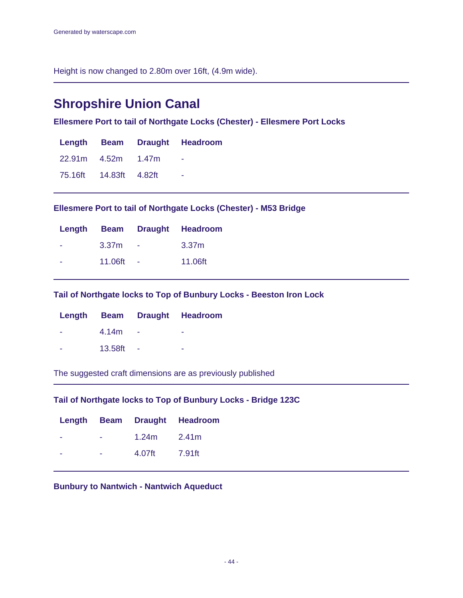Height is now changed to 2.80m over 16ft, (4.9m wide).

# **Shropshire Union Canal**

**Ellesmere Port to tail of Northgate Locks (Chester) - Ellesmere Port Locks**

|                        | Length Beam Draught Headroom |
|------------------------|------------------------------|
| 22.91m 4.52m 1.47m     |                              |
| 75.16ft 14.83ft 4.82ft |                              |

**Ellesmere Port to tail of Northgate Locks (Chester) - M53 Bridge**

|                   |        | Length Beam Draught Headroom |
|-------------------|--------|------------------------------|
| 3.37 <sub>m</sub> | $\sim$ | 3.37 <sub>m</sub>            |
| 11.06ft           |        | 11.06ft                      |

**Tail of Northgate locks to Top of Bunbury Locks - Beeston Iron Lock**

|         | Length Beam Draught Headroom |
|---------|------------------------------|
| 4.14m   |                              |
| 13.58ft |                              |

The suggested craft dimensions are as previously published

**Tail of Northgate locks to Top of Bunbury Locks - Bridge 123C**

|   |                 | Length Beam Draught Headroom |
|---|-----------------|------------------------------|
| ۰ | $1.24m$ $2.41m$ |                              |
| ۰ | 4.07ft          | 7.91ft                       |

**Bunbury to Nantwich - Nantwich Aqueduct**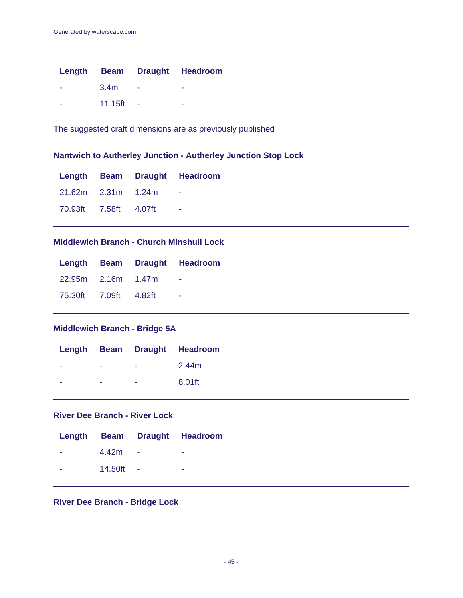|   |                  | Length Beam Draught Headroom |
|---|------------------|------------------------------|
|   | 3.4 <sub>m</sub> |                              |
| - | 11.15ft          |                              |

The suggested craft dimensions are as previously published

## **Nantwich to Autherley Junction - Autherley Junction Stop Lock**

|                       |  | Length Beam Draught Headroom |
|-----------------------|--|------------------------------|
| 21.62m 2.31m 1.24m    |  |                              |
| 70.93ft 7.58ft 4.07ft |  | - -                          |

### **Middlewich Branch - Church Minshull Lock**

|                       |  | Length Beam Draught Headroom |
|-----------------------|--|------------------------------|
| 22.95m 2.16m 1.47m    |  |                              |
| 75.30ft 7.09ft 4.82ft |  | ۰                            |

## **Middlewich Branch - Bridge 5A**

|   |   | Length Beam Draught Headroom |
|---|---|------------------------------|
| - | - | 2.44m                        |
| - | - | 8.01ft                       |

### **River Dee Branch - River Lock**

|         |     | Length Beam Draught Headroom |
|---------|-----|------------------------------|
| 4.42m   |     |                              |
| 14.50ft | - 4 | -                            |

### **River Dee Branch - Bridge Lock**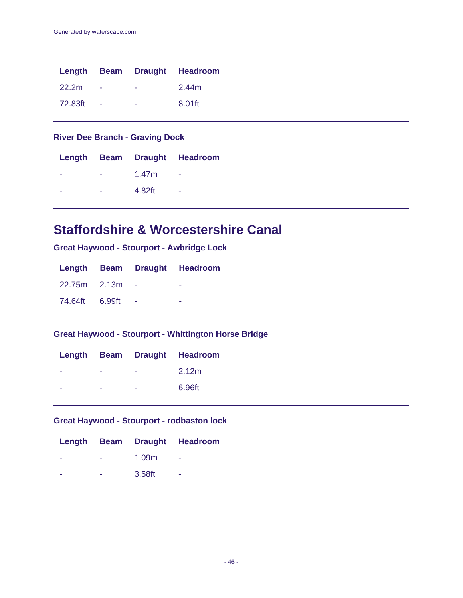|         |        |   | Length Beam Draught Headroom |
|---------|--------|---|------------------------------|
| 22.2m   |        | ۰ | 2.44m                        |
| 72.83ft | $\sim$ | - | 8.01ft                       |

## **River Dee Branch - Graving Dock**

|   |        | Length Beam Draught Headroom |
|---|--------|------------------------------|
| - | 1.47m  | ۰                            |
|   | 4.82ft |                              |

# **Staffordshire & Worcestershire Canal**

**Great Haywood - Stourport - Awbridge Lock**

|                |  | Length Beam Draught Headroom |
|----------------|--|------------------------------|
| 22.75m 2.13m   |  |                              |
| 74.64ft 6.99ft |  |                              |

## **Great Haywood - Stourport - Whittington Horse Bridge**

|   |   | Length Beam Draught Headroom |
|---|---|------------------------------|
| - | - | 2.12m                        |
|   |   | 6.96ft                       |

## **Great Haywood - Stourport - rodbaston lock**

|   |                | Length Beam Draught Headroom |
|---|----------------|------------------------------|
|   | $   1.09m$ $-$ |                              |
| - | $-3.58$ ft $-$ |                              |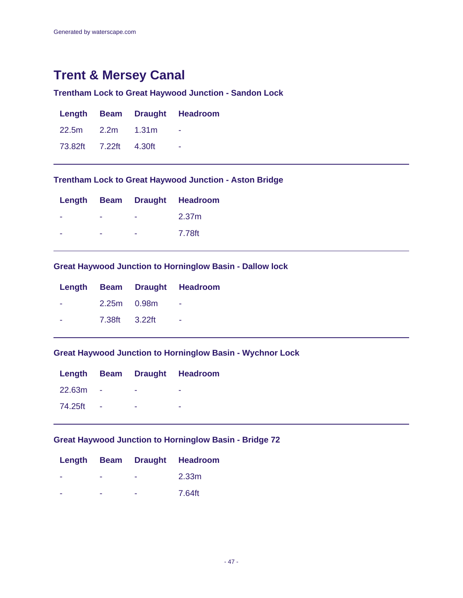# **Trent & Mersey Canal**

## **Trentham Lock to Great Haywood Junction - Sandon Lock**

|                       |  | Length Beam Draught Headroom |
|-----------------------|--|------------------------------|
| 22.5m 2.2m 1.31m      |  |                              |
| 73.82ft 7.22ft 4.30ft |  | $\sim$                       |

### **Trentham Lock to Great Haywood Junction - Aston Bridge**

|   | Length Beam Draught Headroom |
|---|------------------------------|
| - | 2.37m                        |
| - | 7.78ft                       |

### **Great Haywood Junction to Horninglow Basin - Dallow lock**

|               | Length Beam Draught Headroom |
|---------------|------------------------------|
| 2.25m 0.98m   |                              |
| 7.38ft 3.22ft | -                            |
|               |                              |

### **Great Haywood Junction to Horninglow Basin - Wychnor Lock**

|         |  | Length Beam Draught Headroom |
|---------|--|------------------------------|
| 22.63m  |  |                              |
| 74.25ft |  |                              |

## **Great Haywood Junction to Horninglow Basin - Bridge 72**

|  | Length Beam Draught Headroom |
|--|------------------------------|
|  | 2.33m                        |
|  | 7.64ft                       |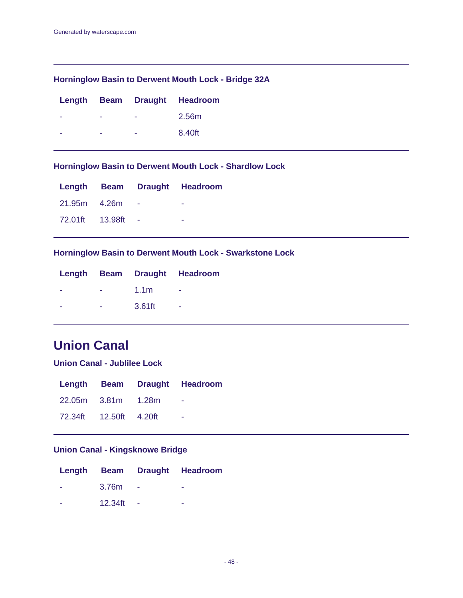### **Horninglow Basin to Derwent Mouth Lock - Bridge 32A**

|   |   | Length Beam Draught Headroom |
|---|---|------------------------------|
| - | - | 2.56m                        |
| - | - | 8.40ft                       |

### **Horninglow Basin to Derwent Mouth Lock - Shardlow Lock**

|                 |            | Length Beam Draught Headroom |
|-----------------|------------|------------------------------|
| 21.95m 4.26m    |            |                              |
| 72.01ft 13.98ft | $\sim 100$ |                              |

### **Horninglow Basin to Derwent Mouth Lock - Swarkstone Lock**

|   |                  | Length Beam Draught Headroom |
|---|------------------|------------------------------|
|   | 1.1 <sub>m</sub> |                              |
| - | 3.61ft           | -                            |

# **Union Canal**

**Union Canal - Jublilee Lock**

|                        |  | Length Beam Draught Headroom |
|------------------------|--|------------------------------|
| 22.05m 3.81m 1.28m     |  |                              |
| 72.34ft 12.50ft 4.20ft |  | <b><i><u>ALCO</u></i></b>    |

# **Union Canal - Kingsknowe Bridge**

|         | Length Beam Draught Headroom |
|---------|------------------------------|
| 3.76m   |                              |
| 12.34ft |                              |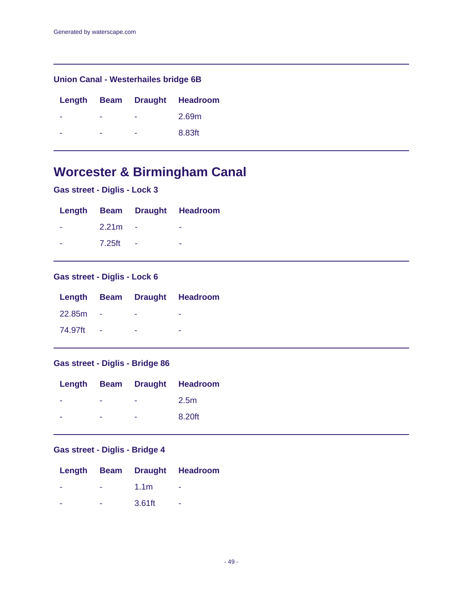## **Union Canal - Westerhailes bridge 6B**

|   |   | Length Beam Draught Headroom |
|---|---|------------------------------|
| - | - | 2.69m                        |
| - | - | 8.83ft                       |

# **Worcester & Birmingham Canal**

| Gas street - Diglis - Lock 3 |  |  |  |  |  |
|------------------------------|--|--|--|--|--|
|------------------------------|--|--|--|--|--|

|                   |        | Length Beam Draught Headroom |
|-------------------|--------|------------------------------|
| 2.21 <sub>m</sub> |        |                              |
| 7.25ft            | $\sim$ | -                            |

# **Gas street - Diglis - Lock 6**

|         |  | Length Beam Draught Headroom |
|---------|--|------------------------------|
| 22.85m  |  |                              |
| 74.97ft |  |                              |

## **Gas street - Diglis - Bridge 86**

|   |   | Length Beam Draught Headroom |
|---|---|------------------------------|
| - | - | 2.5 <sub>m</sub>             |
| - | - | 8.20ft                       |
|   |   |                              |

# **Gas street - Diglis - Bridge 4**

|   |                  | Length Beam Draught Headroom |
|---|------------------|------------------------------|
| - | 1.1 <sub>m</sub> |                              |
| - | 3.61ft           | -                            |